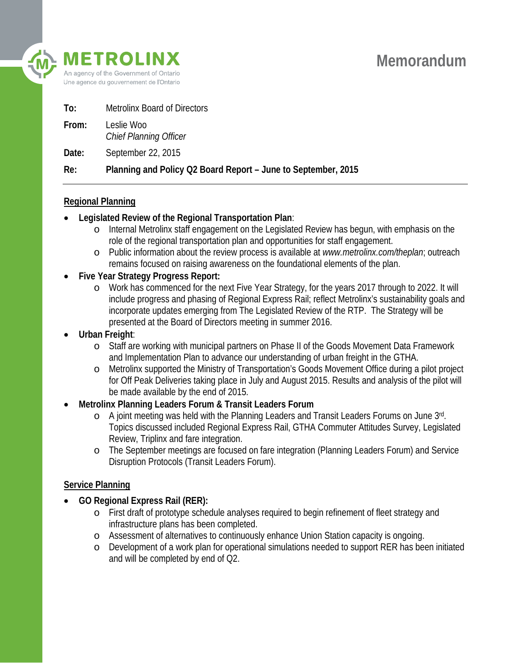

| To:   | <b>Metrolinx Board of Directors</b>                           |
|-------|---------------------------------------------------------------|
| From: | Leslie Woo<br><b>Chief Planning Officer</b>                   |
| Date: | September 22, 2015                                            |
| Re:   | Planning and Policy Q2 Board Report - June to September, 2015 |

## **Regional Planning**

- **Legislated Review of the Regional Transportation Plan**:
	- o Internal Metrolinx staff engagement on the Legislated Review has begun, with emphasis on the role of the regional transportation plan and opportunities for staff engagement.
	- o Public information about the review process is available at *www.metrolinx.com/theplan*; outreach remains focused on raising awareness on the foundational elements of the plan.
- **Five Year Strategy Progress Report:**
	- o Work has commenced for the next Five Year Strategy, for the years 2017 through to 2022. It will include progress and phasing of Regional Express Rail; reflect Metrolinx's sustainability goals and incorporate updates emerging from The Legislated Review of the RTP. The Strategy will be presented at the Board of Directors meeting in summer 2016.
- **Urban Freight**:
	- o Staff are working with municipal partners on Phase II of the Goods Movement Data Framework and Implementation Plan to advance our understanding of urban freight in the GTHA.
	- o Metrolinx supported the Ministry of Transportation's Goods Movement Office during a pilot project for Off Peak Deliveries taking place in July and August 2015. Results and analysis of the pilot will be made available by the end of 2015.
- **Metrolinx Planning Leaders Forum & Transit Leaders Forum**
	- o A joint meeting was held with the Planning Leaders and Transit Leaders Forums on June 3rd. Topics discussed included Regional Express Rail, GTHA Commuter Attitudes Survey, Legislated Review, Triplinx and fare integration.
	- o The September meetings are focused on fare integration (Planning Leaders Forum) and Service Disruption Protocols (Transit Leaders Forum).

## **Service Planning**

- **GO Regional Express Rail (RER):**
	- o First draft of prototype schedule analyses required to begin refinement of fleet strategy and infrastructure plans has been completed.
	- o Assessment of alternatives to continuously enhance Union Station capacity is ongoing.
	- o Development of a work plan for operational simulations needed to support RER has been initiated and will be completed by end of Q2.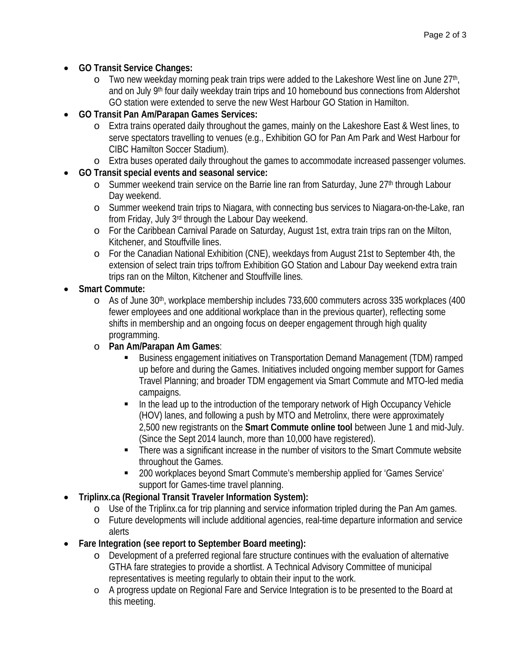- **GO Transit Service Changes:**
	- $\circ$  Two new weekday morning peak train trips were added to the Lakeshore West line on June 27<sup>th</sup>, and on July 9<sup>th</sup> four daily weekday train trips and 10 homebound bus connections from Aldershot GO station were extended to serve the new West Harbour GO Station in Hamilton.
- **GO Transit Pan Am/Parapan Games Services:**
	- o Extra trains operated daily throughout the games, mainly on the Lakeshore East & West lines, to serve spectators travelling to venues (e.g., Exhibition GO for Pan Am Park and West Harbour for CIBC Hamilton Soccer Stadium).
	- o Extra buses operated daily throughout the games to accommodate increased passenger volumes.
- **GO Transit special events and seasonal service:**
	- o Summer weekend train service on the Barrie line ran from Saturday, June 27<sup>th</sup> through Labour Day weekend.
	- o Summer weekend train trips to Niagara, with connecting bus services to Niagara-on-the-Lake, ran from Friday, July 3rd through the Labour Day weekend.
	- o For the Caribbean Carnival Parade on Saturday, August 1st, extra train trips ran on the Milton, Kitchener, and Stouffville lines.
	- o For the Canadian National Exhibition (CNE), weekdays from August 21st to September 4th, the extension of select train trips to/from Exhibition GO Station and Labour Day weekend extra train trips ran on the Milton, Kitchener and Stouffville lines.
- **Smart Commute:**
	- $\circ$  As of June 30<sup>th</sup>, workplace membership includes 733,600 commuters across 335 workplaces (400 fewer employees and one additional workplace than in the previous quarter), reflecting some shifts in membership and an ongoing focus on deeper engagement through high quality programming.
	- o **Pan Am/Parapan Am Games**:
		- Business engagement initiatives on Transportation Demand Management (TDM) ramped up before and during the Games. Initiatives included ongoing member support for Games Travel Planning; and broader TDM engagement via Smart Commute and MTO-led media campaigns.
		- In the lead up to the introduction of the temporary network of High Occupancy Vehicle (HOV) lanes, and following a push by MTO and Metrolinx, there were approximately 2,500 new registrants on the **Smart Commute online tool** between June 1 and mid-July. (Since the Sept 2014 launch, more than 10,000 have registered).
		- There was a significant increase in the number of visitors to the Smart Commute website throughout the Games.
		- 200 workplaces beyond Smart Commute's membership applied for 'Games Service' support for Games-time travel planning.
- **Triplinx.ca (Regional Transit Traveler Information System):** 
	- o Use of the Triplinx.ca for trip planning and service information tripled during the Pan Am games.
	- o Future developments will include additional agencies, real-time departure information and service alerts
- **Fare Integration (see report to September Board meeting):** 
	- o Development of a preferred regional fare structure continues with the evaluation of alternative GTHA fare strategies to provide a shortlist. A Technical Advisory Committee of municipal representatives is meeting regularly to obtain their input to the work.
	- o A progress update on Regional Fare and Service Integration is to be presented to the Board at this meeting.